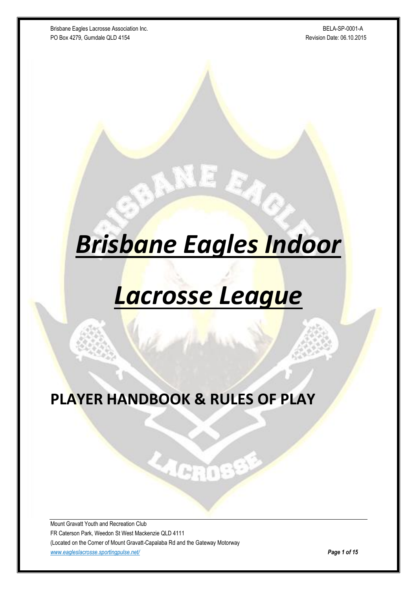Brisbane Eagles Lacrosse Association Inc. **BRISBN 2006** 2007-0001-A PO Box 4279, Gumdale QLD 4154 Revision Date: 06.10.2015

# *Brisbane Eagles Indoor*

EA.

## *Lacrosse League*

**PLAYER HANDBOOK & RULES OF PLAY**

मेर्गा

Mount Gravatt Youth and Recreation Club FR Caterson Park, Weedon St West Mackenzie QLD 4111 (Located on the Corner of Mount Gravatt-Capalaba Rd and the Gateway Motorway *[www.eagleslacrosse.sportingpulse.net/](http://www.eagleslacrosse.sportingpulse.net/) Page 1 of 15*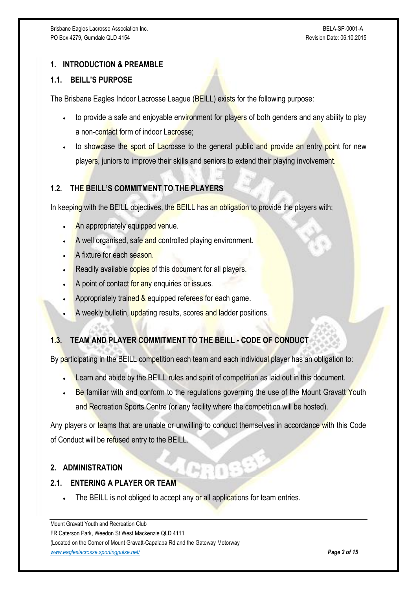## **1. INTRODUCTION & PREAMBLE**

#### **1.1. BEILL'S PURPOSE**

The Brisbane Eagles Indoor Lacrosse League (BEILL) exists for the following purpose:

- to provide a safe and enjoyable environment for players of both genders and any ability to play a non-contact form of indoor Lacrosse:
- to showcase the sport of Lacrosse to the general public and provide an entry point for new players, juniors to improve their skills and seniors to extend their playing involvement.

## **1.2. THE BEILL'S COMMITMENT TO THE PLAYERS**

In keeping with the BEILL objectives, the BEILL has an obligation to provide the players with;

- An appropriately equipped venue.
- A well organised, safe and controlled playing environment.
- A fixture for each season.
- Readily available copies of this document for all players.
- A point of contact for any enquiries or issues.
- Appropriately trained & equipped referees for each game.
- A weekly bulletin, updating results, scores and ladder positions.

## **1.3. TEAM AND PLAYER COMMITMENT TO THE BEILL - CODE OF CONDUCT**

By participating in the BEILL competition each team and each individual player has an obligation to:

- Learn and abide by the BEILL rules and spirit of competition as laid out in this document.
- Be familiar with and conform to the regulations governing the use of the Mount Gravatt Youth and Recreation Sports Centre (or any facility where the competition will be hosted).

Any players or teams that are unable or unwilling to conduct themselves in accordance with this Code of Conduct will be refused entry to the BEILL.

## **2. ADMINISTRATION**

#### **2.1. ENTERING A PLAYER OR TEAM**

The BEILL is not obliged to accept any or all applications for team entries.

Mount Gravatt Youth and Recreation Club FR Caterson Park, Weedon St West Mackenzie QLD 4111 (Located on the Corner of Mount Gravatt-Capalaba Rd and the Gateway Motorway *[www.eagleslacrosse.sportingpulse.net/](http://www.eagleslacrosse.sportingpulse.net/) Page 2 of 15*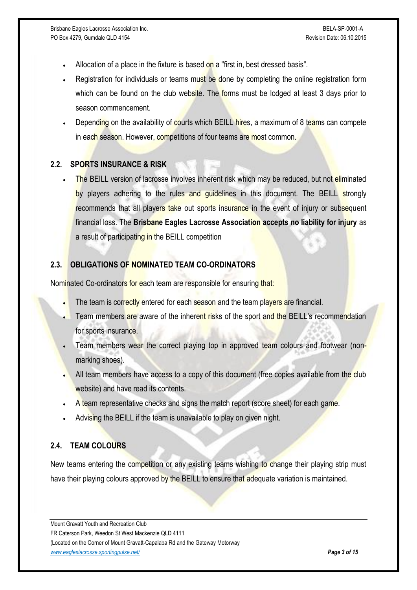- Allocation of a place in the fixture is based on a "first in, best dressed basis".
- Registration for individuals or teams must be done by completing the online registration form which can be found on the club website. The forms must be lodged at least 3 days prior to season commencement.
- Depending on the availability of courts which BEILL hires, a maximum of 8 teams can compete in each season. However, competitions of four teams are most common.

#### **2.2. SPORTS INSURANCE & RISK**

 The BEILL version of lacrosse involves inherent risk which may be reduced, but not eliminated by players adhering to the rules and guidelines in this document. The BEILL strongly recommends that all players take out sports insurance in the event of injury or subsequent financial loss. The **Brisbane Eagles Lacrosse Association accepts no liability for injury** as a result of participating in the BEILL competition

## **2.3. OBLIGATIONS OF NOMINATED TEAM CO-ORDINATORS**

Nominated Co-ordinators for each team are responsible for ensuring that:

- The team is correctly entered for each season and the team players are financial.
- Team members are aware of the inherent risks of the sport and the BEILL's recommendation for sports insurance.
- Team members wear the correct playing top in approved team colours and footwear (nonmarking shoes).
- All team members have access to a copy of this document (free copies available from the club website) and have read its contents.
- A team representative checks and signs the match report (score sheet) for each game.
- Advising the BEILL if the team is unavailable to play on given night.

## **2.4. TEAM COLOURS**

New teams entering the competition or any existing teams wishing to change their playing strip must have their playing colours approved by the BEILL to ensure that adequate variation is maintained.

Mount Gravatt Youth and Recreation Club FR Caterson Park, Weedon St West Mackenzie QLD 4111 (Located on the Corner of Mount Gravatt-Capalaba Rd and the Gateway Motorway *[www.eagleslacrosse.sportingpulse.net/](http://www.eagleslacrosse.sportingpulse.net/) Page 3 of 15*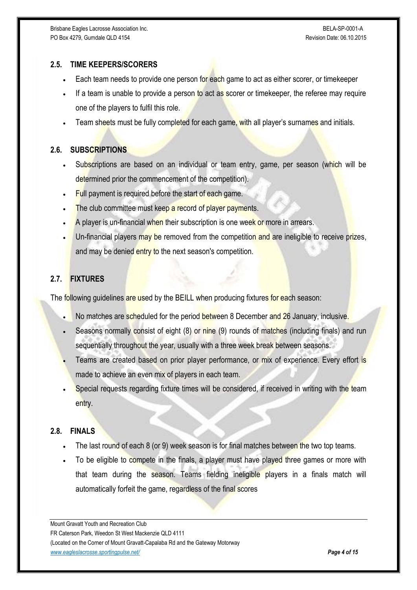## **2.5. TIME KEEPERS/SCORERS**

- Each team needs to provide one person for each game to act as either scorer, or timekeeper
- If a team is unable to provide a person to act as scorer or timekeeper, the referee may require one of the players to fulfil this role.
- Team sheets must be fully completed for each game, with all player's surnames and initials.

## **2.6. SUBSCRIPTIONS**

- Subscriptions are based on an individual or team entry, game, per season (which will be determined prior the commencement of the competition).
- $\blacksquare$  Full payment is required before the start of each game.
- The club committee must keep a record of player payments.
- A player is un-financial when their subscription is one week or more in arrears.
- Un-financial players may be removed from the competition and are ineligible to receive prizes. and may be denied entry to the next season's competition.

## **2.7. FIXTURES**

The following guidelines are used by the BEILL when producing fixtures for each season:

- No matches are scheduled for the period between 8 December and 26 January, inclusive.
- Seasons normally consist of eight (8) or nine (9) rounds of matches (including finals) and run sequentially throughout the year, usually with a three week break between seasons.
- Teams are created based on prior player performance, or mix of experience. Every effort is made to achieve an even mix of players in each team.
- Special requests regarding fixture times will be considered, if received in writing with the team entry.

## **2.8. FINALS**

- The last round of each 8 (or 9) week season is for final matches between the two top teams.
- To be eligible to compete in the finals, a player must have played three games or more with that team during the season. Teams fielding ineligible players in a finals match will automatically forfeit the game, regardless of the final scores

Mount Gravatt Youth and Recreation Club FR Caterson Park, Weedon St West Mackenzie QLD 4111 (Located on the Corner of Mount Gravatt-Capalaba Rd and the Gateway Motorway *[www.eagleslacrosse.sportingpulse.net/](http://www.eagleslacrosse.sportingpulse.net/) Page 4 of 15*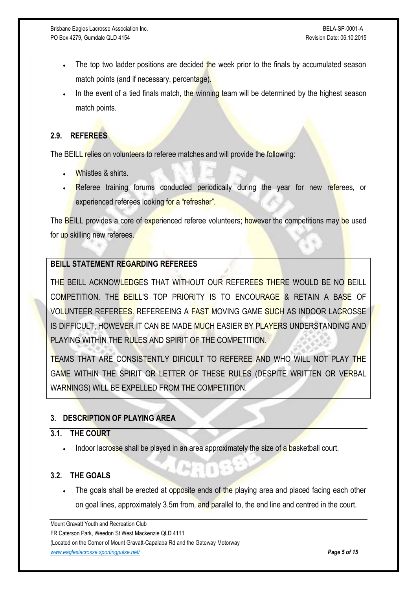- The top two ladder positions are decided the week prior to the finals by accumulated season match points (and if necessary, percentage).
- In the event of a tied finals match, the winning team will be determined by the highest season match points.

## **2.9. REFEREES**

The BEILL relies on volunteers to referee matches and will provide the following:

- Whistles & shirts.
- Referee training forums conducted periodically during the year for new referees, or experienced referees looking for a "refresher".

The **BEILL** provides a core of experienced referee volunteers; however the competitions may be used for up skilling new referees.

## **BEILL STATEMENT REGARDING REFEREES**

THE BEILL ACKNOWLEDGES THAT WITHOUT OUR REFEREES THERE WOULD BE NO BEILL COMPETITION. THE BEILL'S TOP PRIORITY IS TO ENCOURAGE & RETAIN A BASE OF VOLUNTEER REFEREES. REFEREEING A FAST MOVING GAME SUCH AS INDOOR LACROSSE IS DIFFICULT, HOWEVER IT CAN BE MADE MUCH EASIER BY PLAYERS UNDERSTANDING AND PLAYING WITHIN THE RULES AND SPIRIT OF THE COMPETITION.

TEAMS THAT ARE CONSISTENTLY DIFICULT TO REFEREE AND WHO WILL NOT PLAY THE GAME WITHIN THE SPIRIT OR LETTER OF THESE RULES (DESPITE WRITTEN OR VERBAL WARNINGS) WILL BE EXPELLED FROM THE COMPETITION.

## **3. DESCRIPTION OF PLAYING AREA**

#### **3.1. THE COURT**

Indoor lacrosse shall be played in an area approximately the size of a basketball court.

## **3.2. THE GOALS**

The goals shall be erected at opposite ends of the playing area and placed facing each other on goal lines, approximately 3.5m from, and parallel to, the end line and centred in the court.

Mount Gravatt Youth and Recreation Club FR Caterson Park, Weedon St West Mackenzie QLD 4111 (Located on the Corner of Mount Gravatt-Capalaba Rd and the Gateway Motorway *[www.eagleslacrosse.sportingpulse.net/](http://www.eagleslacrosse.sportingpulse.net/) Page 5 of 15*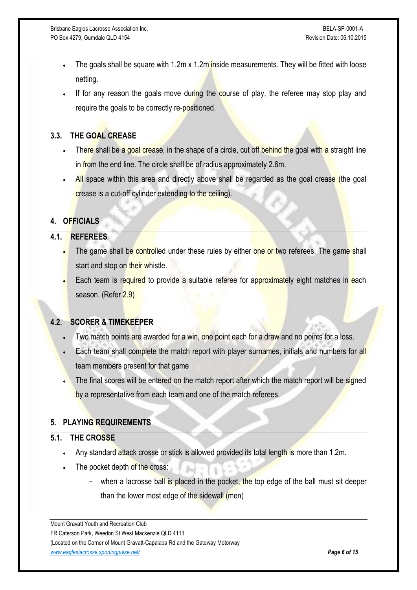- The goals shall be square with 1.2m x 1.2m inside measurements. They will be fitted with loose netting.
- If for any reason the goals move during the course of play, the referee may stop play and require the goals to be correctly re-positioned.

## **3.3. THE GOAL CREASE**

- There shall be a goal crease, in the shape of a circle, cut off behind the goal with a straight line in from the end line. The circle shall be of radius approximately 2.6m.
- All space within this area and directly above shall be regarded as the goal crease (the goal crease is a cut-off cylinder extending to the ceiling).

## **4. OFFICIALS**

## **4.1. REFEREES**

- The game shall be controlled under these rules by either one or two referees. The game shall start and stop on their whistle.
- Each team is required to provide a suitable referee for approximately eight matches in each season. (Refer 2.9)

## **4.2. SCORER & TIMEKEEPER**

- Two match points are awarded for a win, one point each for a draw and no points for a loss.
- Each team shall complete the match report with player surnames, initials and numbers for all team members present for that game
- The final scores will be entered on the match report after which the match report will be signed by a representative from each team and one of the match referees.

## **5. PLAYING REQUIREMENTS**

#### **5.1. THE CROSSE**

- Any standard attack crosse or stick is allowed provided its total length is more than 1.2m.
- The pocket depth of the cross:
	- when a lacrosse ball is placed in the pocket, the top edge of the ball must sit deeper than the lower most edge of the sidewall (men)

Mount Gravatt Youth and Recreation Club FR Caterson Park, Weedon St West Mackenzie QLD 4111 (Located on the Corner of Mount Gravatt-Capalaba Rd and the Gateway Motorway *[www.eagleslacrosse.sportingpulse.net/](http://www.eagleslacrosse.sportingpulse.net/) Page 6 of 15*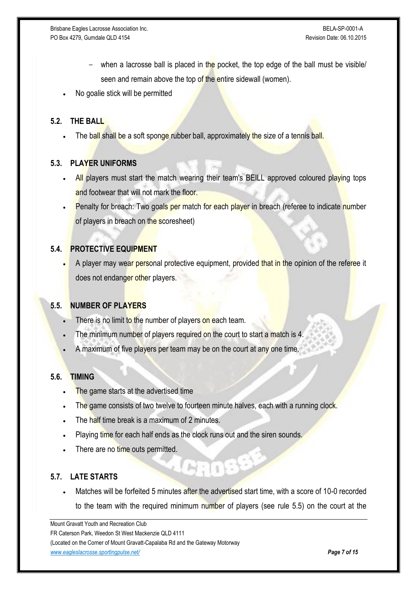- when a lacrosse ball is placed in the pocket, the top edge of the ball must be visible/ seen and remain above the top of the entire sidewall (women).
- No goalie stick will be permitted

## **5.2. THE BALL**

The ball shall be a soft sponge rubber ball, approximately the size of a tennis ball.

## **5.3. PLAYER UNIFORMS**

- All players must start the match wearing their team's BEILL approved coloured playing tops and footwear that will not mark the floor.
- Penalty for breach: Two goals per match for each player in breach (referee to indicate number of players in breach on the scoresheet)

## **5.4. PROTECTIVE EQUIPMENT**

A player may wear personal protective equipment, provided that in the opinion of the referee it does not endanger other players.

#### **5.5. NUMBER OF PLAYERS**

- There is no limit to the number of players on each team.
- The minimum number of players required on the court to start a match is 4.
- A maximum of five players per team may be on the court at any one time.

#### **5.6. TIMING**

- The game starts at the advertised time
- The game consists of two twelve to fourteen minute halves, each with a running clock.
- The half time break is a maximum of 2 minutes.
- Playing time for each half ends as the clock runs out and the siren sounds.
- There are no time outs permitted.

## **5.7. LATE STARTS**

 Matches will be forfeited 5 minutes after the advertised start time, with a score of 10-0 recorded to the team with the required minimum number of players (see rule 5.5) on the court at the

Mount Gravatt Youth and Recreation Club FR Caterson Park, Weedon St West Mackenzie QLD 4111 (Located on the Corner of Mount Gravatt-Capalaba Rd and the Gateway Motorway *[www.eagleslacrosse.sportingpulse.net/](http://www.eagleslacrosse.sportingpulse.net/) Page 7 of 15*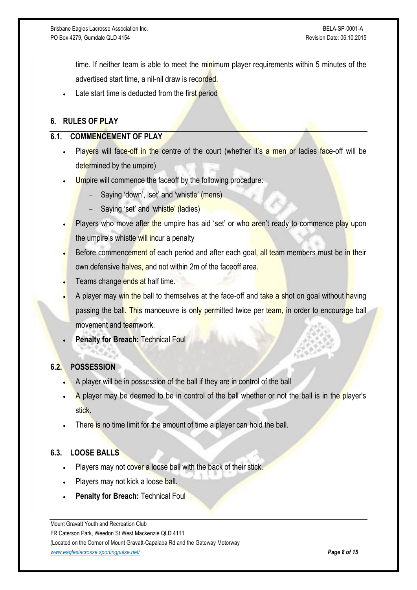time. If neither team is able to meet the minimum player requirements within 5 minutes of the advertised start time, a nil-nil draw is recorded.

Late start time is deducted from the first period

## **6. RULES OF PLAY**

#### **6.1. COMMENCEMENT OF PLAY**

- Players will face-off in the centre of the court (whether it's a men or ladies face-off will be determined by the umpire)
- Umpire will commence the faceoff by the following procedure:
	- Saying 'down', 'set' and 'whistle' (mens)
	- Saying 'set' and 'whistle' (ladies)
- Players who move after the umpire has aid 'set' or who aren't ready to commence play upon the umpire's whistle will incur a penalty
- Before commencement of each period and after each goal, all team members must be in their own defensive halves, and not within 2m of the faceoff area.
- Teams change ends at half time.
- A player may win the ball to themselves at the face-off and take a shot on goal without having passing the ball. This manoeuvre is only permitted twice per team, in order to encourage ball movement and teamwork.
- **Penalty for Breach:** Technical Foul

#### **6.2. POSSESSION**

- A player will be in possession of the ball if they are in control of the ball
- A player may be deemed to be in control of the ball whether or not the ball is in the player's stick.
- There is no time limit for the amount of time a player can hold the ball.

#### **6.3. LOOSE BALLS**

- Players may not cover a loose ball with the back of their stick.
- Players may not kick a loose ball.
- **Penalty for Breach:** Technical Foul

Mount Gravatt Youth and Recreation Club FR Caterson Park, Weedon St West Mackenzie QLD 4111 (Located on the Corner of Mount Gravatt-Capalaba Rd and the Gateway Motorway *[www.eagleslacrosse.sportingpulse.net/](http://www.eagleslacrosse.sportingpulse.net/) Page 8 of 15*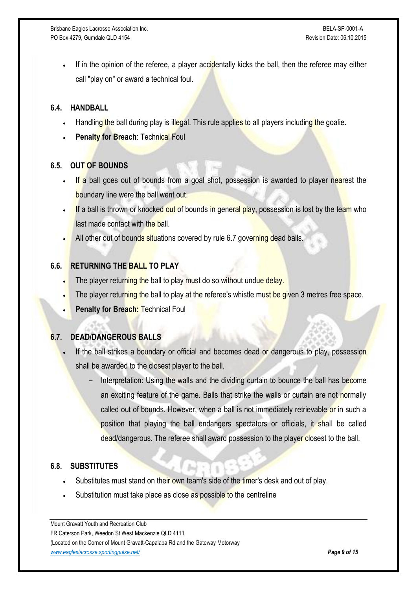If in the opinion of the referee, a player accidentally kicks the ball, then the referee may either call "play on" or award a technical foul.

#### **6.4. HANDBALL**

- Handling the ball during play is illegal. This rule applies to all players including the goalie.
- **Penalty for Breach: Technical Foul**

## **6.5. OUT OF BOUNDS**

- If a ball goes out of bounds from a goal shot, possession is awarded to player nearest the boundary line were the ball went out.
- If a ball is thrown or knocked out of bounds in general play, possession is lost by the team who last made contact with the ball.
- All other out of bounds situations covered by rule 6.7 governing dead balls.

## **6.6. RETURNING THE BALL TO PLAY**

- The player returning the ball to play must do so without undue delay.
- The player returning the ball to play at the referee's whistle must be given 3 metres free space.
- **Penalty for Breach:** Technical Foul

## **6.7. DEAD/DANGEROUS BALLS**

- If the ball strikes a boundary or official and becomes dead or dangerous to play, possession shall be awarded to the closest player to the ball.
	- Interpretation: Using the walls and the dividing curtain to bounce the ball has become an exciting feature of the game. Balls that strike the walls or curtain are not normally called out of bounds. However, when a ball is not immediately retrievable or in such a position that playing the ball endangers spectators or officials, it shall be called dead/dangerous. The referee shall award possession to the player closest to the ball.

#### **6.8. SUBSTITUTES**

- Substitutes must stand on their own team's side of the timer's desk and out of play.
- Substitution must take place as close as possible to the centreline

Mount Gravatt Youth and Recreation Club FR Caterson Park, Weedon St West Mackenzie QLD 4111 (Located on the Corner of Mount Gravatt-Capalaba Rd and the Gateway Motorway *[www.eagleslacrosse.sportingpulse.net/](http://www.eagleslacrosse.sportingpulse.net/) Page 9 of 15*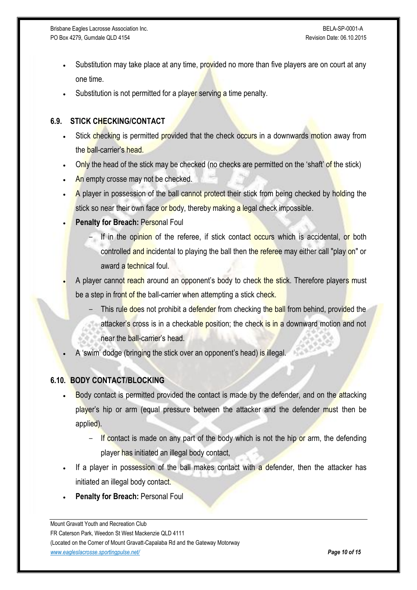Brisbane Eagles Lacrosse Association Inc. **BELA-SP-0001-A** and the United States of the BELA-SP-0001-A PO Box 4279, Gumdale QLD 4154 Revision Date: 06.10.2015

- Substitution may take place at any time, provided no more than five players are on court at any one time.
- Substitution is not permitted for a player serving a time penalty.

## **6.9. STICK CHECKING/CONTACT**

- Stick checking is permitted provided that the check occurs in a downwards motion away from the **ball-carrier's head.**
- Only the head of the stick may be checked (no checks are permitted on the 'shaft' of the stick)
- An empty crosse may not be checked.
- A player in possession of the ball cannot protect their stick from being checked by holding the stick so near their own face or body, thereby making a legal check impossible.
- **Penalty for Breach: Personal Foul** 
	- If in the opinion of the referee, if stick contact occurs which is accidental, or both controlled and incidental to playing the ball then the referee may either call "play on" or award a technical foul.
- A player cannot reach around an opponent's body to check the stick. Therefore players must be a step in front of the ball-carrier when attempting a stick check.
	- This rule does not prohibit a defender from checking the ball from behind, provided the attacker's cross is in a checkable position; the check is in a downward motion and not near the ball-carrier's head.
- A 'swim' dodge (bringing the stick over an opponent's head) is illegal.

## **6.10. BODY CONTACT/BLOCKING**

- Body contact is permitted provided the contact is made by the defender, and on the attacking player's hip or arm (equal pressure between the attacker and the defender must then be applied).
	- $-$  If contact is made on any part of the body which is not the hip or arm, the defending player has initiated an illegal body contact,
- If a player in possession of the ball makes contact with a defender, then the attacker has initiated an illegal body contact.
- **Penalty for Breach: Personal Foul**

Mount Gravatt Youth and Recreation Club FR Caterson Park, Weedon St West Mackenzie QLD 4111 (Located on the Corner of Mount Gravatt-Capalaba Rd and the Gateway Motorway *[www.eagleslacrosse.sportingpulse.net/](http://www.eagleslacrosse.sportingpulse.net/) Page 10 of 15*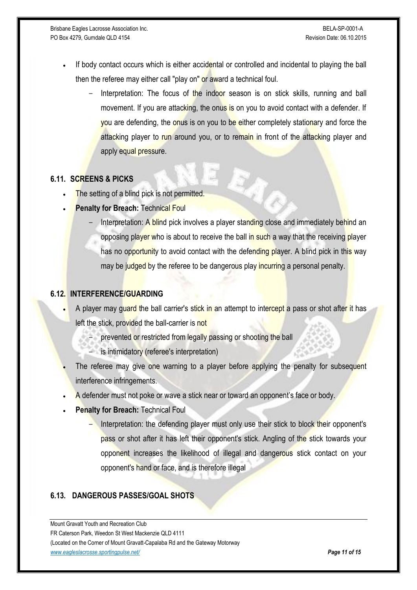- If body contact occurs which is either accidental or controlled and incidental to playing the ball then the referee may either call "play on" or award a technical foul.
	- Interpretation: The focus of the indoor season is on stick skills, running and ball movement. If you are attacking, the onus is on you to avoid contact with a defender. If you are defending, the onus is on you to be either completely stationary and force the attacking player to run around you, or to remain in front of the attacking player and apply equal pressure.

## **6.11. SCREENS & PICKS**

- The setting of a blind pick is not permitted.
- **Penalty for Breach: Technical Foul** 
	- Interpretation: A blind pick involves a player standing close and immediately behind an opposing player who is about to receive the ball in such a way that the receiving player has no opportunity to avoid contact with the defending player. A blind pick in this way may be judged by the referee to be dangerous play incurring a personal penalty.

#### **6.12. INTERFERENCE/GUARDING**

- A player may quard the ball carrier's stick in an attempt to intercept a pass or shot after it has left the stick, provided the ball-carrier is not
	- prevented or restricted from legally passing or shooting the ball
	- is intimidatory (referee's interpretation)
- The referee may give one warning to a player before applying the penalty for subsequent interference infringements.
- A defender must not poke or wave a stick near or toward an opponent's face or body.
- **Penalty for Breach: Technical Foul** 
	- Interpretation: the defending player must only use their stick to block their opponent's pass or shot after it has left their opponent's stick. Angling of the stick towards your opponent increases the likelihood of illegal and dangerous stick contact on your opponent's hand or face, and is therefore illegal

#### **6.13. DANGEROUS PASSES/GOAL SHOTS**

Mount Gravatt Youth and Recreation Club FR Caterson Park, Weedon St West Mackenzie QLD 4111 (Located on the Corner of Mount Gravatt-Capalaba Rd and the Gateway Motorway *[www.eagleslacrosse.sportingpulse.net/](http://www.eagleslacrosse.sportingpulse.net/) Page 11 of 15*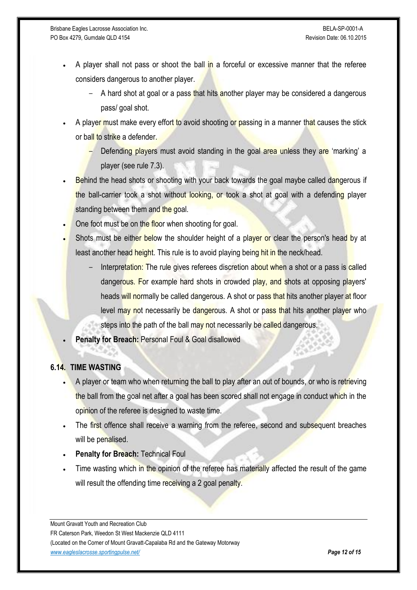- A player shall not pass or shoot the ball in a forceful or excessive manner that the referee considers dangerous to another player.
	- A hard shot at goal or a pass that hits another player may be considered a dangerous pass/ goal shot.
- A player must make every effort to avoid shooting or passing in a manner that causes the stick or ball to strike a defender.
	- Defending players must avoid standing in the goal area unless they are 'marking' a player (see rule 7.3).
- Behind the head shots or shooting with your back towards the goal maybe called dangerous if the ball-carrier took a shot without looking, or took a shot at goal with a defending player standing between them and the goal.
- One foot must be on the floor when shooting for goal.
- Shots must be either below the shoulder height of a player or clear the person's head by at least another head height. This rule is to avoid playing being hit in the neck/head.
	- Interpretation: The rule gives referees discretion about when a shot or a pass is called dangerous. For example hard shots in crowded play, and shots at opposing players' heads will normally be called dangerous. A shot or pass that hits another player at floor level may not necessarily be dangerous. A shot or pass that hits another player who steps into the path of the ball may not necessarily be called dangerous.
- **Penalty for Breach:** Personal Foul & Goal disallowed

#### **6.14. TIME WASTING**

- A player or team who when returning the ball to play after an out of bounds, or who is retrieving the ball from the goal net after a goal has been scored shall not engage in conduct which in the opinion of the referee is designed to waste time.
- The first offence shall receive a warning from the referee, second and subsequent breaches will be penalised.
- **Penalty for Breach:** Technical Foul
- Time wasting which in the opinion of the referee has materially affected the result of the game will result the offending time receiving a 2 goal penalty.

Mount Gravatt Youth and Recreation Club FR Caterson Park, Weedon St West Mackenzie QLD 4111 (Located on the Corner of Mount Gravatt-Capalaba Rd and the Gateway Motorway *[www.eagleslacrosse.sportingpulse.net/](http://www.eagleslacrosse.sportingpulse.net/) Page 12 of 15*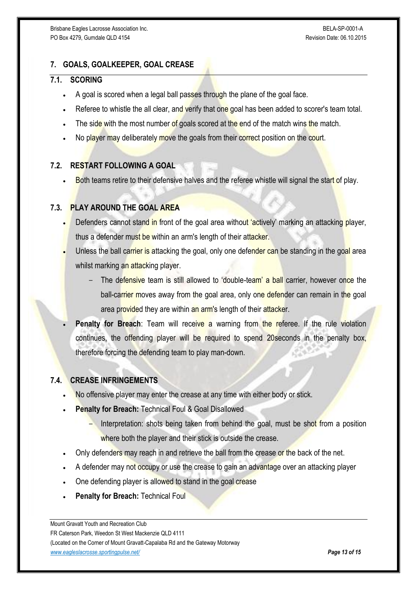## **7. GOALS, GOALKEEPER, GOAL CREASE**

#### **7.1. SCORING**

- A goal is scored when a legal ball passes through the plane of the goal face.
- Referee to whistle the all clear, and verify that one goal has been added to scorer's team total.
- The side with the most number of goals scored at the end of the match wins the match.
- No player may deliberately move the goals from their correct position on the court.

## **7.2. RESTART FOLLOWING A GOAL**

Both teams retire to their defensive halves and the referee whistle will signal the start of play.

#### **7.3. PLAY AROUND THE GOAL AREA**

- Defenders cannot stand in front of the goal area without 'actively' marking an attacking player, thus a defender must be within an arm's length of their attacker.
- Unless the ball carrier is attacking the goal, only one defender can be standing in the goal area whilst marking an attacking player.
	- The defensive team is still allowed to 'double-team' a ball carrier, however once the ball-carrier moves away from the goal area, only one defender can remain in the goal area provided they are within an arm's length of their attacker.
- **Penalty for Breach:** Team will receive a warning from the referee. If the rule violation continues, the offending player will be required to spend 20 seconds in the penalty box, therefore forcing the defending team to play man-down.

#### **7.4. CREASE INFRINGEMENTS**

- No offensive player may enter the crease at any time with either body or stick.
- **Penalty for Breach:** Technical Foul & Goal Disallowed
	- Interpretation: shots being taken from behind the goal, must be shot from a position where both the player and their stick is outside the crease.
- Only defenders may reach in and retrieve the ball from the crease or the back of the net.
- A defender may not occupy or use the crease to gain an advantage over an attacking player
- One defending player is allowed to stand in the goal crease
- **Penalty for Breach: Technical Foul**

Mount Gravatt Youth and Recreation Club FR Caterson Park, Weedon St West Mackenzie QLD 4111 (Located on the Corner of Mount Gravatt-Capalaba Rd and the Gateway Motorway *[www.eagleslacrosse.sportingpulse.net/](http://www.eagleslacrosse.sportingpulse.net/) Page 13 of 15*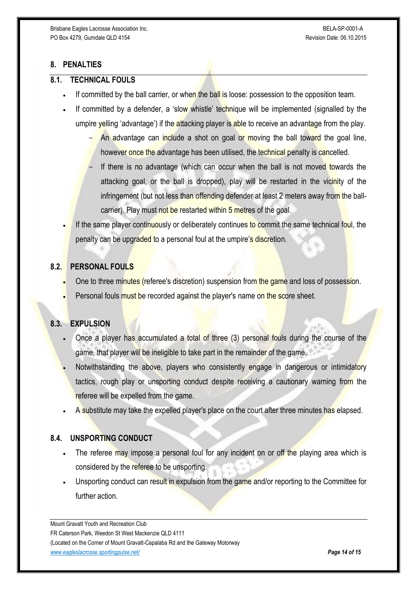## **8. PENALTIES**

#### **8.1. TECHNICAL FOULS**

- If committed by the ball carrier, or when the ball is loose: possession to the opposition team.
- If committed by a defender, a 'slow whistle' technique will be implemented (signalled by the umpire yelling 'advantage') if the attacking player is able to receive an advantage from the play.
	- An advantage can include a shot on goal or moving the ball toward the goal line, however once the advantage has been utilised, the technical penalty is cancelled.
	- If there is no advantage (which can occur when the ball is not moved towards the attacking goal, or the ball is dropped), play will be restarted in the vicinity of the infringement (but not less than offending defender at least 2 meters away from the ballcarrier). Play must not be restarted within 5 metres of the goal.

If the same player continuously or deliberately continues to commit the same technical foul, the penalty can be upgraded to a personal foul at the umpire's discretion.

## **8.2. PERSONAL FOULS**

- One to three minutes (referee's discretion) suspension from the game and loss of possession.
- Personal fouls must be recorded against the player's name on the score sheet.

#### **8.3. EXPULSION**

- Once a player has accumulated a total of three (3) personal fouls during the course of the game, that player will be ineligible to take part in the remainder of the game.
- Notwithstanding the above, players who consistently engage in dangerous or intimidatory tactics, rough play or unsporting conduct despite receiving a cautionary warning from the referee will be expelled from the game.
- A substitute may take the expelled player's place on the court after three minutes has elapsed.

#### **8.4. UNSPORTING CONDUCT**

- The referee may impose a personal foul for any incident on or off the playing area which is considered by the referee to be unsporting.
- Unsporting conduct can result in expulsion from the game and/or reporting to the Committee for further action

Mount Gravatt Youth and Recreation Club FR Caterson Park, Weedon St West Mackenzie QLD 4111 (Located on the Corner of Mount Gravatt-Capalaba Rd and the Gateway Motorway *[www.eagleslacrosse.sportingpulse.net/](http://www.eagleslacrosse.sportingpulse.net/) Page 14 of 15*